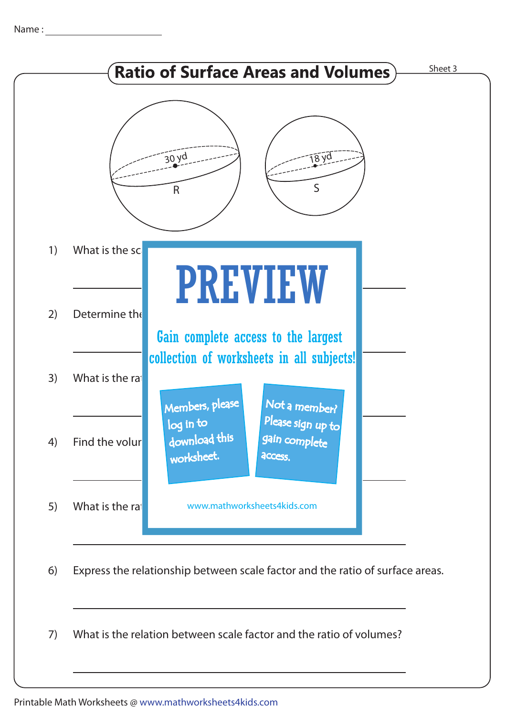